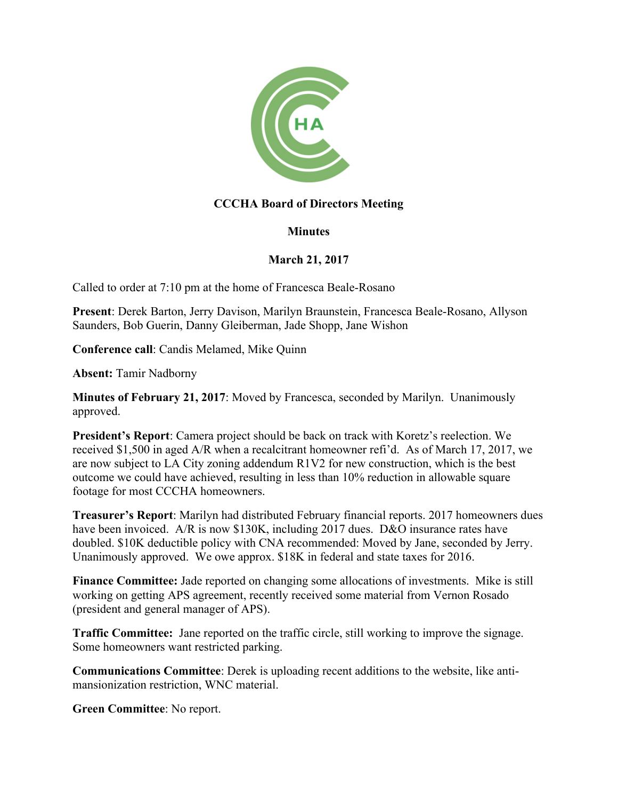

# **CCCHA Board of Directors Meeting**

## **Minutes**

## **March 21, 2017**

Called to order at 7:10 pm at the home of Francesca Beale-Rosano

**Present**: Derek Barton, Jerry Davison, Marilyn Braunstein, Francesca Beale-Rosano, Allyson Saunders, Bob Guerin, Danny Gleiberman, Jade Shopp, Jane Wishon

**Conference call**: Candis Melamed, Mike Quinn

**Absent:** Tamir Nadborny

**Minutes of February 21, 2017**: Moved by Francesca, seconded by Marilyn. Unanimously approved.

**President's Report**: Camera project should be back on track with Koretz's reelection. We received \$1,500 in aged A/R when a recalcitrant homeowner refi'd. As of March 17, 2017, we are now subject to LA City zoning addendum R1V2 for new construction, which is the best outcome we could have achieved, resulting in less than 10% reduction in allowable square footage for most CCCHA homeowners.

**Treasurer's Report**: Marilyn had distributed February financial reports. 2017 homeowners dues have been invoiced. A/R is now \$130K, including 2017 dues. D&O insurance rates have doubled. \$10K deductible policy with CNA recommended: Moved by Jane, seconded by Jerry. Unanimously approved. We owe approx. \$18K in federal and state taxes for 2016.

**Finance Committee:** Jade reported on changing some allocations of investments. Mike is still working on getting APS agreement, recently received some material from Vernon Rosado (president and general manager of APS).

**Traffic Committee:** Jane reported on the traffic circle, still working to improve the signage. Some homeowners want restricted parking.

**Communications Committee**: Derek is uploading recent additions to the website, like antimansionization restriction, WNC material.

**Green Committee**: No report.